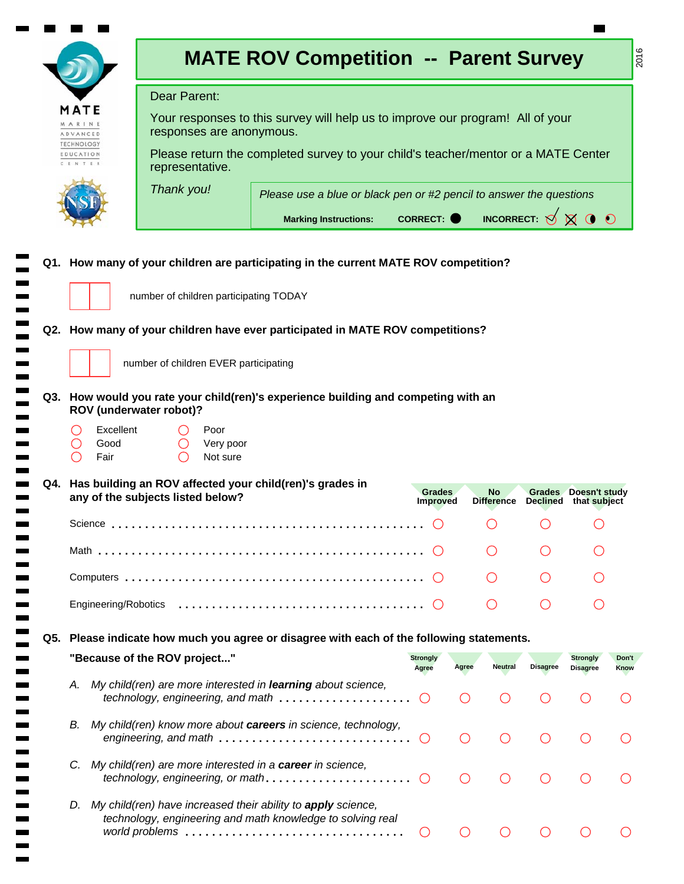|                                              |                   |                                              | <b>MATE ROV Competition -- Parent Survey</b>                                                                               |                           |                                             |                         |                                                     |                                    | 2016          |
|----------------------------------------------|-------------------|----------------------------------------------|----------------------------------------------------------------------------------------------------------------------------|---------------------------|---------------------------------------------|-------------------------|-----------------------------------------------------|------------------------------------|---------------|
|                                              |                   | Dear Parent:                                 |                                                                                                                            |                           |                                             |                         |                                                     |                                    |               |
| MATE<br>ARINE<br>ADVANCED                    |                   | responses are anonymous.                     | Your responses to this survey will help us to improve our program! All of your                                             |                           |                                             |                         |                                                     |                                    |               |
| TECHNOLOGY<br>EDUCATION<br>C. E. N. T. E. R. |                   | representative.                              | Please return the completed survey to your child's teacher/mentor or a MATE Center                                         |                           |                                             |                         |                                                     |                                    |               |
|                                              |                   | Thank you!                                   | Please use a blue or black pen or #2 pencil to answer the questions                                                        |                           |                                             |                         |                                                     |                                    |               |
|                                              |                   |                                              | <b>Marking Instructions:</b>                                                                                               | <b>CORRECT:</b>           |                                             |                         | INCORRECT: $\bigcirc \otimes \otimes \bullet \circ$ |                                    |               |
|                                              |                   | number of children participating TODAY       | Q1. How many of your children are participating in the current MATE ROV competition?                                       |                           |                                             |                         |                                                     |                                    |               |
|                                              |                   |                                              | Q2. How many of your children have ever participated in MATE ROV competitions?                                             |                           |                                             |                         |                                                     |                                    |               |
|                                              |                   | number of children EVER participating        |                                                                                                                            |                           |                                             |                         |                                                     |                                    |               |
|                                              | Excellent<br>Good | ROV (underwater robot)?<br>Poor<br>Very poor | Q3. How would you rate your child(ren)'s experience building and competing with an                                         |                           |                                             |                         |                                                     |                                    |               |
|                                              | Fair              | Not sure                                     |                                                                                                                            |                           |                                             |                         |                                                     |                                    |               |
|                                              |                   | any of the subjects listed below?            | Q4. Has building an ROV affected your child(ren)'s grades in                                                               | Grades<br><b>Improved</b> |                                             | No<br><b>Difference</b> | Declined that subject                               | Grades Doesn't study               |               |
|                                              |                   |                                              |                                                                                                                            |                           |                                             |                         |                                                     |                                    |               |
|                                              |                   |                                              |                                                                                                                            |                           |                                             |                         |                                                     |                                    |               |
|                                              |                   |                                              |                                                                                                                            |                           |                                             |                         |                                                     |                                    |               |
|                                              |                   |                                              |                                                                                                                            |                           |                                             |                         |                                                     |                                    |               |
|                                              |                   |                                              | Q5. Please indicate how much you agree or disagree with each of the following statements.                                  |                           |                                             |                         |                                                     |                                    |               |
|                                              |                   | "Because of the ROV project"                 |                                                                                                                            | <b>Strongly</b><br>Agree  | Agree                                       | <b>Neutral</b>          | <b>Disagree</b>                                     | <b>Strongly</b><br><b>Disagree</b> | Don't<br>Know |
| А.                                           |                   |                                              | My child(ren) are more interested in learning about science,<br>technology, engineering, and math                          | $\bigcirc$                |                                             |                         |                                                     |                                    |               |
| В.                                           |                   |                                              | My child(ren) know more about careers in science, technology,<br>engineering, and math                                     | $\bigcirc$                | $\left(\begin{array}{c} \end{array}\right)$ |                         |                                                     |                                    |               |
| C.                                           |                   |                                              | My child(ren) are more interested in a career in science,<br>technology, engineering, or math                              | $\bigcirc$                | $\left(\begin{array}{c} \end{array}\right)$ |                         |                                                     |                                    |               |
| D.                                           |                   |                                              | My child(ren) have increased their ability to apply science,<br>technology, engineering and math knowledge to solving real | $\circ$                   | $\left(\begin{array}{c} \end{array}\right)$ |                         |                                                     |                                    |               |